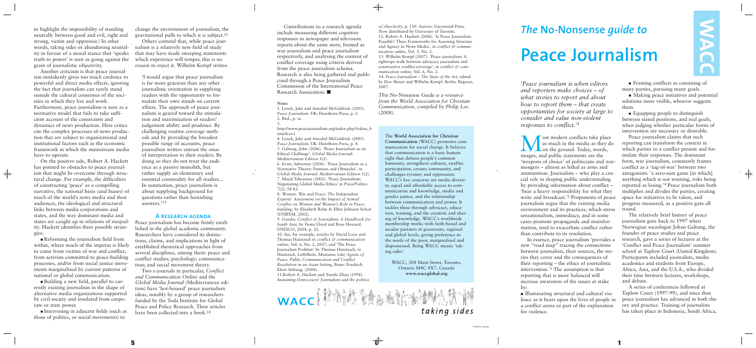*'Peace journalism is when editors and reporters make choices – of what stories to report and about how to report them – that create opportunities for society at large to consider and value non-violent responses to conflict.'1*

**M** ost modern conflicts take place<br>as much in the media as they d<br>on the ground. Today, words, as much in the media as they do on the ground. Today, words, images, and public statements are the 'weapons of choice' of politicians and warmongers – almost as lethal as arms and ammunition. Journalists – who play a crucial role in shaping public understanding by providing information about conflict – 'bear a heavy responsibility for what they write and broadcast.'2 Proponents of peace journalism argue that the existing media environment and its practices, which stress sensationalism, immediacy, and in some cases promote propaganda and misinformation, tend to exacerbate conflict rather than contribute to its resolution.

• Framing conflicts as consisting of many parties, pursuing many goals.

In essence, peace journalism 'provides a new "road map" tracing the connections between journalists, their sources, the stories they cover and the consequences of their reporting – the ethics of journalistic intervention.'3 The assumption is that reporting that is more balanced will increase awareness of the issues at stake by:

� Illuminating structural and cultural violence as it bears upon the lives of people in a conflict arena as part of the explanation for violence.

� Making peace initiatives and potential solutions more visible, whoever suggests them.

� Equipping people to distinguish between stated positions, and real goals, when judging whether particular forms of intervention are necessary or desirable.

Peace journalism claims that such reporting can transform the context in which parties to a conflict present and formulate their responses. The dominant form, war journalism, commonly frames conflict as a 'tug-of-war' between two antagonists: 'a zero-sum game [in which] anything which is not winning, risks being reported as losing.'4 Peace journalism both multiplies and divides the parties, creating space for initiatives to be taken, and progress measured, as a positive gain all round.

The relatively brief history of peace journalism goes back to 1997 when Norwegian sociologist Johan Galtung, the founder of peace studies and peace research, gave a series of lectures at the 'Conflict and Peace Journalism' summer school at Taplow Court (United Kingdom). Participants included journalists, media academics and students from Europe, Africa, Asia, and the U.S.A., who divided their time between lectures, workshops, and debate.

A series of conferences followed at Taplow Court (1997-99), and since then peace journalism has advanced in both theory and practice. Training of journalists has taken place in Indonesia, South Africa,

# *The* **No-Nonsense** *guide to* **Peace Journalism**

Contributions to a research agenda include measuring different cognitive responses to newspaper and television reports about the same story, framed as war journalism and peace journalism respectively, and analysing the content of conflict coverage using criteria derived from the peace journalism schema. Research is also being gathered and publicised through a Peace Journalism Commission of the International Peace Research Association. �

#### **Notes**

1. Lynch, Jake and Annabel McGoldrick (2005). *Peace Journalism.* UK: Hawthorn Press, p. 5. 2. Ibid., p. ix.

3. http://www.peacejournalism.org/index.php?f=data\_h ome&a=1

4. Lynch, Jake and Annabel McGoldrick (2005). *Peace Journalism.* UK: Hawthorn Press, p. 8. 5. Galtung, John (2006). 'Peace Journalism as an Ethical Challenge', *Global Media Journal: Mediterranean Edition* 1(2)

6. Irvan, Suleyman (2006). 'Peace Journalism as a Normative Theory: Premises and Obstacles', in *Global Media Journal: Mediterranean Edition* 1(2). 7. Majid Tehranian (2002). 'Peace Journalism: Negotiating Global Media Ethics' in *Press/Politics* 7(2): 58-83.

• Reforming the journalism field from within, where much of the impetus is likely to come from victims of war and conflict, from activists committed to peace-building processes, and/or from social justice movements marginalized by current patterns of national or global communication.

8. *Women, War and Peace: The Independent Experts' Assessment on the Impact of Armed Conflict on Women and Women's Role in Peacebuilding,* by Elisabeth Rehn & Ellen Johnson Sirleaf (UNIFEM, 2002).

9. *Gender, Conflict & Journalism: A Handbook for South Asia*, by Fiona Lloyd and Ross Howard. UNESCO, 2004, p. 32.

10. See, for example, articles by David Loyn and Thomas Hanitzsch in *conflict & communication online*, Vol. 6, No. 2, 2007; and 'The Peace Journalism Problem' by Thomas Hanitzsch, in Hanitzsch, Löffelholz, Mustamu (eds) *Agents of Peace. Public Communication and Conflict Resolution in an Asian Setting*, Bonn: Friedrich Ebert Stiftung, (2004).

11.Robert A. Hackett and Yuezhi Zhao (1998). *Sustaining Democracy? Journalism and the politics*



*of objectivity*, p. 130. Aurora: Garamond Press. Now distributed by University of Toronto. 12. Robert A. Hackett (2006). 'Is Peace Journalism Possible? Three Frameworks for Assessing Structure and Agency in News Media', in *conflict* & *communication online*, Vol. 5, No. 2.

13. Wilhelm Kempf (2007). 'Peace journalism: A tightrope walk between advocacy journalism and constructive conflict coverage', in *conflict & communication online*, Vol. 6, No. 2.

14. *Peace Journalism – The State of the Art*, edited by Dov Shinar and Wilhelm Kempf. Berlin: Regener, 2007.

*This* No-Nonsense Guide *is a resource from the World Association for Christian Communication, compiled by Philip Lee.* (2008).

The **World Association for Christian Communication** (WACC) promotes communication for social change. It believes that communication is a basic human right that defines people's common humanity, strengthens cultures, enables participation, creates community, and challenges tyranny and oppression. WACC's key concerns are media diversity, equal and affordable access to communication and knowledge, media and gender justice, and the relationship between communication and power. It tackles these through advocacy, education, training, and the creation and sharing of knowledge. WACC's worldwide membership works with faith-based and secular partners at grassroots, regional and global levels, giving preference to the needs of the poor, marginalised and dispossessed. Being WACC means 'taking sides'.

> WACC, 308 Main Street, Toronto, Ontario M4C 4X7, Canada **www.waccglobal.org**

to highlight the impossibility of standing neutrally between good and evil, right and wrong, victim and oppressor.) In other words, taking sides or abandoning neutrality in favour of a moral stance that 'speaks truth to power' is seen as going against the grain of journalistic objectivity.

Another criticism is that peace journalism mistakenly gives too much credence to powerful and direct media effects, ignoring the fact that journalists can rarely stand outside the cultural consensus of the societies in which they live and work. Furthermore, peace journalism is seen as a normative model that fails to take sufficient account of the constraints and dynamics of news production. Here critics cite the complex processes of news production that are subject to organizational and institutional factors such as the economic framework in which the mainstream media have to operate.

On the positive side, Robert A. Hackett has pointed to obstacles to peace journalism that might be overcome through structural change. For example, the difficulties of constructing 'peace' as a compelling narrative, the national basis (and biases) of much of the world's news media and their audiences, the ideological and structural links between media corporations and states, and the way dominant media and states are caught up in relations of inequality. Hackett identifies three possible strategies:

 $\overline{\bigoplus}$ 

� Building a new field, parallel to currently existing journalism in the shape of alternative media organizations supported by civil society and insulated from corporate or state power.

� Intervening in adjacent fields (such as those of politics, or social movements) to

change the environment of journalism, the gravitational pulls to which it is subject.12

Others contend that, while peace journalism is a relatively new field of study that may have made sweeping statements which experience will temper, this is no reason to reject it. Wilhelm Kempf writes:

'I would argue that peace journalism is far more gracious than any other journalistic orientation in supplying readers with the opportunity to formulate their own stands on current affairs. The approach of peace journalism is geared toward the stimulation and maximization of readers' judgement ability and prudence. By challenging routine coverage methods and by providing the broadest possible range of accounts, peace journalism writers entrust the onus of interpretation to their readers. By doing so they do not treat the audience as a passive monolith, but rather supply an elementary and essential commodity for all readers... In summation, peace journalism is about supplying background for questions rather than furnishing answers.'13

#### **A research agenda**

Peace journalism has become firmly established in the global academic community. Researchers have considered its distinctions, claims, and implications in light of established theoretical approaches from several disciplines, among them: peace and conflict studies; psychology; communication; and social movement theory.

Two e-journals in particular, *Conflict and Communication Online* and the *Global Media Journal* (Mediterranean edition) have 'hot-housed' peace journalism ideas, notably by a group of researchers funded by the Toda Institute for Global Peace and Policy Research. Their articles have been collected into a book.14

 $\overline{\phantom{a}}$ 



 $\overline{\phantom{a}}$